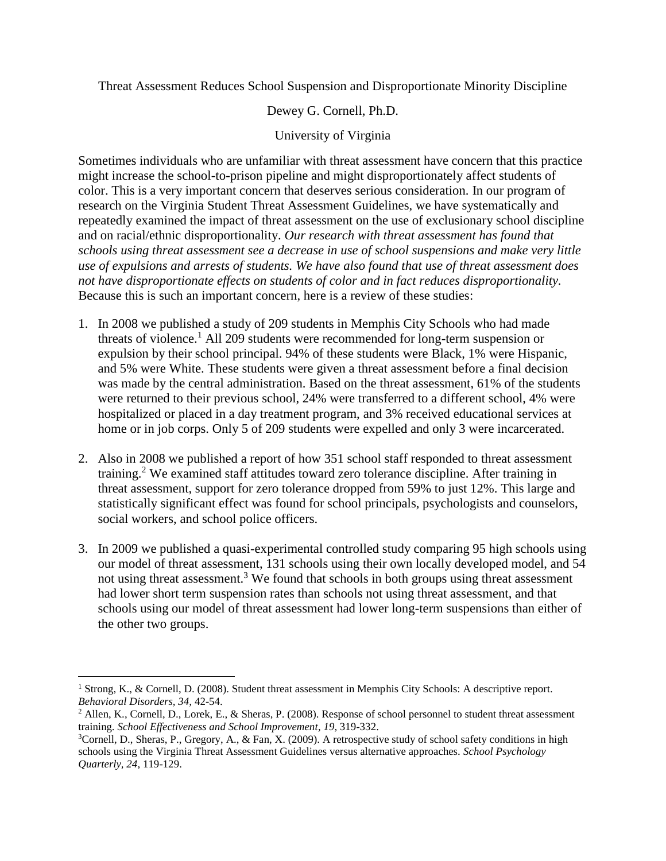Threat Assessment Reduces School Suspension and Disproportionate Minority Discipline

Dewey G. Cornell, Ph.D.

## University of Virginia

Sometimes individuals who are unfamiliar with threat assessment have concern that this practice might increase the school-to-prison pipeline and might disproportionately affect students of color. This is a very important concern that deserves serious consideration. In our program of research on the Virginia Student Threat Assessment Guidelines, we have systematically and repeatedly examined the impact of threat assessment on the use of exclusionary school discipline and on racial/ethnic disproportionality. *Our research with threat assessment has found that schools using threat assessment see a decrease in use of school suspensions and make very little use of expulsions and arrests of students. We have also found that use of threat assessment does not have disproportionate effects on students of color and in fact reduces disproportionality.*  Because this is such an important concern, here is a review of these studies:

- 1. In 2008 we published a study of 209 students in Memphis City Schools who had made threats of violence.<sup>1</sup> All 209 students were recommended for long-term suspension or expulsion by their school principal. 94% of these students were Black, 1% were Hispanic, and 5% were White. These students were given a threat assessment before a final decision was made by the central administration. Based on the threat assessment, 61% of the students were returned to their previous school, 24% were transferred to a different school, 4% were hospitalized or placed in a day treatment program, and 3% received educational services at home or in job corps. Only 5 of 209 students were expelled and only 3 were incarcerated.
- 2. Also in 2008 we published a report of how 351 school staff responded to threat assessment training.<sup>2</sup> We examined staff attitudes toward zero tolerance discipline. After training in threat assessment, support for zero tolerance dropped from 59% to just 12%. This large and statistically significant effect was found for school principals, psychologists and counselors, social workers, and school police officers.
- 3. In 2009 we published a quasi-experimental controlled study comparing 95 high schools using our model of threat assessment, 131 schools using their own locally developed model, and 54 not using threat assessment.<sup>3</sup> We found that schools in both groups using threat assessment had lower short term suspension rates than schools not using threat assessment, and that schools using our model of threat assessment had lower long-term suspensions than either of the other two groups.

 $\overline{a}$ 

<sup>&</sup>lt;sup>1</sup> Strong, K., & Cornell, D. (2008). Student threat assessment in Memphis City Schools: A descriptive report. *Behavioral Disorders, 34,* 42-54.

<sup>&</sup>lt;sup>2</sup> Allen, K., Cornell, D., Lorek, E., & Sheras, P. (2008). Response of school personnel to student threat assessment training. *School Effectiveness and School Improvement*, *19*, 319-332.

 $3$ Cornell, D., Sheras, P., Gregory, A., & Fan, X. (2009). A retrospective study of school safety conditions in high schools using the Virginia Threat Assessment Guidelines versus alternative approaches. *School Psychology Quarterly, 24*, 119-129.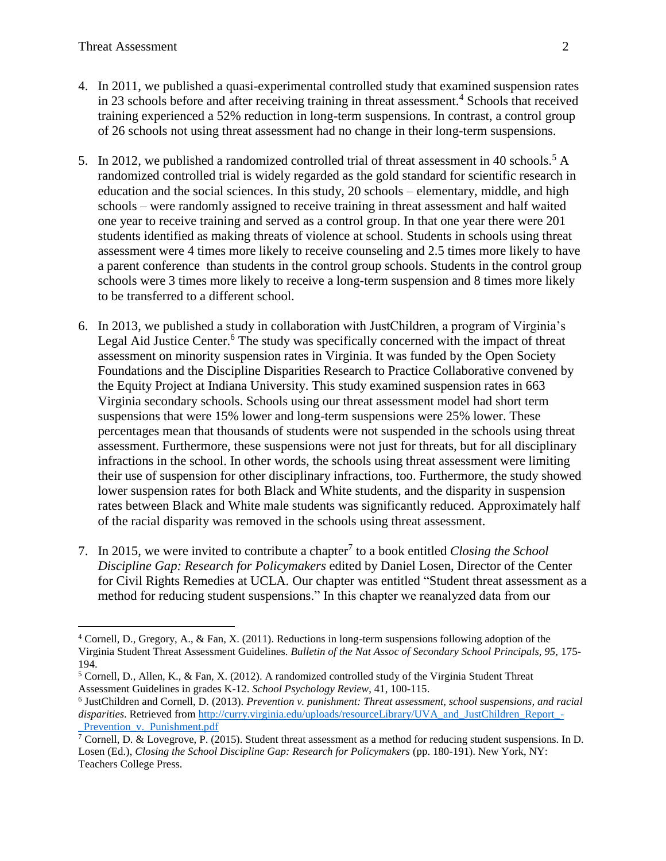$\overline{a}$ 

- 4. In 2011, we published a quasi-experimental controlled study that examined suspension rates in 23 schools before and after receiving training in threat assessment.<sup>4</sup> Schools that received training experienced a 52% reduction in long-term suspensions. In contrast, a control group of 26 schools not using threat assessment had no change in their long-term suspensions.
- 5. In 2012, we published a randomized controlled trial of threat assessment in 40 schools.<sup>5</sup> A randomized controlled trial is widely regarded as the gold standard for scientific research in education and the social sciences. In this study, 20 schools – elementary, middle, and high schools – were randomly assigned to receive training in threat assessment and half waited one year to receive training and served as a control group. In that one year there were 201 students identified as making threats of violence at school. Students in schools using threat assessment were 4 times more likely to receive counseling and 2.5 times more likely to have a parent conference than students in the control group schools. Students in the control group schools were 3 times more likely to receive a long-term suspension and 8 times more likely to be transferred to a different school.
- 6. In 2013, we published a study in collaboration with JustChildren, a program of Virginia's Legal Aid Justice Center.<sup>6</sup> The study was specifically concerned with the impact of threat assessment on minority suspension rates in Virginia. It was funded by the Open Society Foundations and the Discipline Disparities Research to Practice Collaborative convened by the Equity Project at Indiana University. This study examined suspension rates in 663 Virginia secondary schools. Schools using our threat assessment model had short term suspensions that were 15% lower and long-term suspensions were 25% lower. These percentages mean that thousands of students were not suspended in the schools using threat assessment. Furthermore, these suspensions were not just for threats, but for all disciplinary infractions in the school. In other words, the schools using threat assessment were limiting their use of suspension for other disciplinary infractions, too. Furthermore, the study showed lower suspension rates for both Black and White students, and the disparity in suspension rates between Black and White male students was significantly reduced. Approximately half of the racial disparity was removed in the schools using threat assessment.
- 7. In 2015, we were invited to contribute a chapter<sup>7</sup> to a book entitled *Closing the School Discipline Gap: Research for Policymakers* edited by Daniel Losen, Director of the Center for Civil Rights Remedies at UCLA. Our chapter was entitled "Student threat assessment as a method for reducing student suspensions." In this chapter we reanalyzed data from our

<sup>&</sup>lt;sup>4</sup> Cornell, D., Gregory, A., & Fan, X. (2011). Reductions in long-term suspensions following adoption of the Virginia Student Threat Assessment Guidelines. *Bulletin of the Nat Assoc of Secondary School Principals, 95,* 175- 194.

<sup>5</sup> Cornell, D., Allen, K., & Fan, X. (2012). A randomized controlled study of the Virginia Student Threat Assessment Guidelines in grades K-12. *School Psychology Review*, 41, 100-115.

<sup>6</sup> JustChildren and Cornell, D. (2013). *Prevention v. punishment: Threat assessment, school suspensions, and racial disparities*. Retrieved fro[m http://curry.virginia.edu/uploads/resourceLibrary/UVA\\_and\\_JustChildren\\_Report\\_-](http://curry.virginia.edu/uploads/resourceLibrary/UVA_and_JustChildren_Report_-_Prevention_v._Punishment.pdf) Prevention v. Punishment.pdf

 $\frac{7 \text{Corel (NLP) dimension of } 2}{7 \text{ Cornell, D. & Lovegrove, P. (2015).}$  Student threat assessment as a method for reducing student suspensions. In D. Losen (Ed.), *Closing the School Discipline Gap: Research for Policymakers* (pp. 180-191). New York, NY: Teachers College Press.